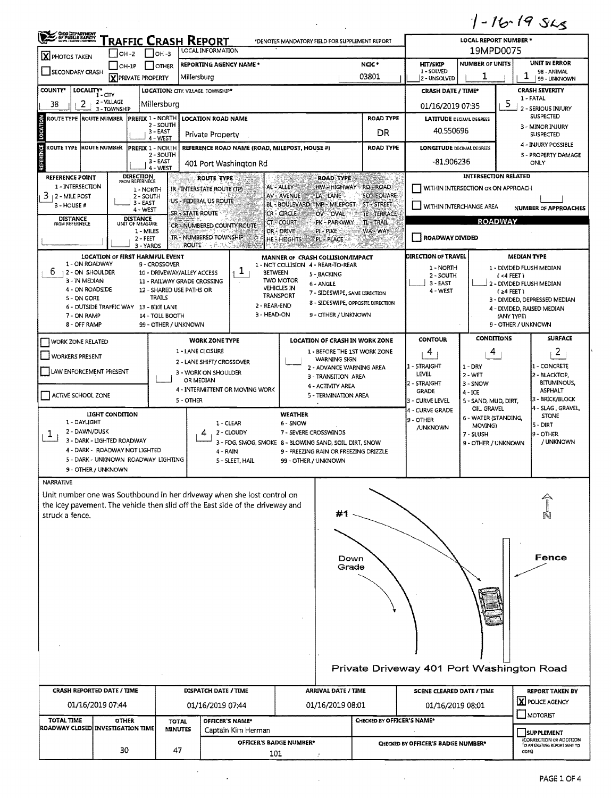| <b>OHIO DEPARTMENT</b><br>OF PUBLIC SAPETY<br>ELON LEGISLATION                                          |                                      |                                     | RAFFIC CRASH REPORT<br><b>LOCAL INFORMATION</b>                                                                                                           | *DENOTES MANDATORY FIELD FOR SUPPLEMENT REPORT                                   | LOCAL REPORT NUMBER *<br>19MPD0075 |                                                     |                                     |                             |                                                     |  |
|---------------------------------------------------------------------------------------------------------|--------------------------------------|-------------------------------------|-----------------------------------------------------------------------------------------------------------------------------------------------------------|----------------------------------------------------------------------------------|------------------------------------|-----------------------------------------------------|-------------------------------------|-----------------------------|-----------------------------------------------------|--|
| X PHOTOS TAKEN                                                                                          | $IOH-2$                              | Iон -з                              |                                                                                                                                                           |                                                                                  |                                    |                                                     |                                     |                             |                                                     |  |
| SECONDARY CRASH                                                                                         | OH-1P<br>X PRIVATE PROPERTY          | <b>OTHER</b>                        | <b>REPORTING AGENCY NAME *</b><br>Millersburg                                                                                                             |                                                                                  | NCIC*<br>03801                     | <b>HIT/SKIP</b><br>1 - SOLVED<br>2 - UNSOLVED       | <b>NUMBER OF UNITS</b><br>1         |                             | <b>UNIT IN ERROR</b><br>98 - ANIMAL<br>99 - UNKNOWN |  |
| <b>COUNTY*</b><br>LOCALITY* CITY                                                                        |                                      |                                     | LOCATION: CITY. VILLAGE. TOWNSHIP*                                                                                                                        |                                                                                  |                                    | <b>CRASH DATE / TIME*</b>                           |                                     |                             | CRASH SEVERITY                                      |  |
| $\overline{2}$<br>38                                                                                    | 2 - VILLAGE<br>3 - TOWNSHIP          | Millersburg                         |                                                                                                                                                           |                                                                                  |                                    | 01/16/2019 07:35                                    |                                     | 5                           | 1 - FATAL<br>2 - SERIOUS INJURY                     |  |
| <b>ROUTE TYPE ROUTE NUMBER</b>                                                                          |                                      | <b>PREFIX 1 - NORTH</b>             | <b>LOCATION ROAD NAME</b>                                                                                                                                 |                                                                                  | <b>ROAD TYPE</b>                   | <b>LATITUDE DECIMAL DEGREES</b>                     |                                     |                             | <b>SUSPECTED</b>                                    |  |
| LOCATION                                                                                                |                                      | 2 - SOUTH<br>$3 - EAST$<br>4 - WEST | Private Property                                                                                                                                          |                                                                                  | DR                                 | 40.550696                                           |                                     |                             | 3 - MINOR INJURY<br><b>SUSPECTED</b>                |  |
| ROUTE TYPE ROUTE NUMBER                                                                                 |                                      | <b>PREFIX 1 - NORTH</b>             | REFERENCE ROAD NAME (ROAD, MILEPOST, HOUSE #)                                                                                                             |                                                                                  | <b>ROAD TYPE</b>                   | <b>LONGITUDE</b> DECIMAL DEGREES                    |                                     |                             | 4 - INJURY POSSIBLE                                 |  |
| REFERENCE                                                                                               |                                      | 2 - SOUTH<br>3 - EAST<br>4 - WEST   | 401 Port Washington Rd                                                                                                                                    |                                                                                  |                                    | -81,906236                                          |                                     |                             | 5 - PROPERTY DAMAGE<br>ONLY                         |  |
| <b>REFERENCE POINT</b>                                                                                  | <b>DIRECTION</b><br>FROM REFERNECE   |                                     | ROUTE TYPE                                                                                                                                                | <b>ROAD TYPE</b>                                                                 |                                    |                                                     |                                     | <b>INTERSECTION RELATED</b> |                                                     |  |
| 1 - INTERSECTION<br>3.<br>  2 - MILE POST                                                               | 1 - NORTH                            |                                     | IR - INTERSTATE ROUTE (TP)                                                                                                                                | AL-ALLEY<br>HW - HIGHWAY - RD - ROAD.<br>LA-LANE<br>AV - AVENUE                  | SO - SOUARE                        | WITHIN INTERSECTION OR ON APPROACH                  |                                     |                             |                                                     |  |
| 3 - HOUSE #                                                                                             | 2 - SOUTH<br>3 - EAST<br>4 - WEST    |                                     | US - FEDERAL US ROUTE<br>SR - STATE ROUTE                                                                                                                 | BL-BOULEVARD MP-MILEPOST<br>CR-CIRCLE<br>OV-OVAL                                 | ST-STREET.                         | <b>WITHIN INTERCHANGE AREA</b>                      |                                     |                             | <b>NUMBER OF APPROACHES</b>                         |  |
| <b>DISTANCE</b><br>FROM REFERNECE                                                                       | DISTANCE<br>UNIT OF MEASURE          |                                     | CR - NUMBERED COUNTY ROUTE                                                                                                                                | CT COURT<br>PK - PARKWAY                                                         | TE - TERRACE -<br><b>TL-TRAIL</b>  |                                                     |                                     | <b>ROADWAY</b>              |                                                     |  |
|                                                                                                         | 1 - MILES<br>$2 - FEET$<br>3 - YARDS |                                     | TR - NUMBERED TOWNSHIP<br><b>ROUTE</b><br>冷戦活動                                                                                                            | DR - DRIVE<br>PI - PIKE<br><b>HE-HEIGHTS</b><br>PL - PLACE                       | WA - WAY                           | <b>ROADWAY DIVIDED</b>                              |                                     |                             |                                                     |  |
|                                                                                                         | LOCATION OF FIRST HARMFUL EVENT      |                                     |                                                                                                                                                           | MANNER OF CRASH COLLISION/IMPACT                                                 |                                    | <b>DIRECTION OF TRAVEL</b>                          |                                     | <b>MEDIAN TYPE</b>          |                                                     |  |
| 1 - ON ROADWAY                                                                                          |                                      | 9 - CROSSOVER                       |                                                                                                                                                           | 1 - NOT COLLISION 4 - REAR-TO-REAR                                               |                                    | 1 - NORTH<br>1 - DIVIDED FLUSH MEDIAN               |                                     |                             |                                                     |  |
| T<br>b.<br>12-ON SHOULDER<br>10 - DRIVEWAY/ALLEY ACCESS<br>3 - IN MEDIAN<br>11 - RAILWAY GRADE CROSSING |                                      |                                     |                                                                                                                                                           | <b>BETWEEN</b><br>5 - BACKING<br><b>TWO MOTOR</b><br>6 - ANGLE                   |                                    | 2 - SOUTH<br>3 - EAST                               |                                     |                             |                                                     |  |
| 4 - ON ROADSIDE<br>12 - SHARED USE PATHS OR                                                             |                                      |                                     |                                                                                                                                                           | <b>VEHICLES IN</b><br>7 - SIDESWIPE, SAME DIRECTION<br>TRANSPORT                 |                                    | 2 - DIVIDED FLUSH MEDIAN<br>4 - WEST<br>$(24$ FEET) |                                     |                             |                                                     |  |
| 5 - ON GORE<br>6 - OUTSIDE TRAFFIC WAY 13 - BIKE LANE                                                   |                                      | <b>TRAILS</b>                       | 2 - REAR-END                                                                                                                                              | 8 - SIDESWIPE, OPPOSITE DIRECTION                                                |                                    |                                                     |                                     |                             | 3 - DIVIDED, DEPRESSED MEDIAN                       |  |
| 7 - ON RAMP                                                                                             |                                      | 14 - TOLL BOOTH                     | 3 - HEAD-ON                                                                                                                                               | 9 - OTHER / UNKNOWN                                                              |                                    | 4 - DIVIDED, RAISED MEDIAN<br>(ANY TYPE)            |                                     |                             |                                                     |  |
| 8 - OFF RAMP                                                                                            |                                      | 99 - OTHER / UNKNOWN                |                                                                                                                                                           |                                                                                  |                                    |                                                     |                                     | 9 - OTHER / UNKNOWN         |                                                     |  |
| <b>WORK ZONE RELATED</b>                                                                                |                                      |                                     | <b>WORK ZONE TYPE</b>                                                                                                                                     | LOCATION OF CRASH IN WORK ZONE                                                   |                                    | <b>CONTOUR</b>                                      | CONDITIONS                          |                             | <b>SURFACE</b>                                      |  |
| <b>WORKERS PRESENT</b>                                                                                  |                                      |                                     | 1 - LANE CLOSURE                                                                                                                                          | 1 - BEFORE THE 1ST WORK ZONE                                                     |                                    | 4                                                   | 4                                   |                             | 2                                                   |  |
|                                                                                                         |                                      |                                     | 2 - LANE SHIFT/ CROSSOVER                                                                                                                                 | <b>WARNING SIGN</b><br>2 - ADVANCE WARNING AREA                                  |                                    | 1 - 5TRAIGHT                                        | $1 - DRY$                           |                             | 1 - CONCRETE                                        |  |
| LAW ENFORCEMENT PRESENT                                                                                 |                                      |                                     | 3 - WORK ON SHOULDER<br>OR MEDIAN                                                                                                                         | 3 - TRANSITION AREA                                                              |                                    | LEVEL                                               | $2 - WET$                           |                             | 2 - BLACKTOP,<br><b>BITUMINOUS,</b>                 |  |
|                                                                                                         |                                      |                                     | 4 - INTERMITTENT OR MOVING WORK                                                                                                                           | 4 - ACTIVITY AREA                                                                |                                    | 2 - STRAIGHT<br><b>GRADE</b>                        | 3 - SNOW<br>$4 - ICE$               |                             | <b>ASPHALT</b>                                      |  |
| ACTIVE SCHOOL ZONE                                                                                      |                                      |                                     | 5 - OTHER                                                                                                                                                 | 5 - TERMINATION AREA                                                             |                                    | 3 - CURVE LEVEL                                     | 5 - SAND, MUD, DIRT,                |                             | 3 - BRICK/BLOCK                                     |  |
|                                                                                                         | LIGHT CONDITION                      |                                     |                                                                                                                                                           | <b>WEATHER</b>                                                                   |                                    | 4 - CURVE GRADE                                     | oil. Gravel<br>6 - WATER (STANDING, |                             | 4 - SLAG, GRAVEL,<br><b>STONE</b>                   |  |
| 1 - DAYLIGHT                                                                                            |                                      |                                     | $1 - CLEAR$                                                                                                                                               | 6 - SNOW                                                                         |                                    | 9 - OTHER<br><b>/UNKNOWN</b>                        | MOVING)                             |                             | <b>S-DIRT</b>                                       |  |
| 2 - DAWN/DUSK<br>T.<br>3 - DARK - LIGHTED ROADWAY                                                       |                                      |                                     | 2 - CLOUDY<br>4                                                                                                                                           | 7 - SEVERE CROSSWINDS<br>3 - FOG, SMOG, SMOKE 8 - BLOWING SAND, SOIL, DIRT, SNOW |                                    |                                                     | 7 - SLUSH<br>9 - OTHER / UNKNOWN    |                             | 9 - OTHER<br>/ UNKNOWN                              |  |
| 4 - DARK - ROADWAY NOT LIGHTED                                                                          |                                      |                                     | 4 - RAIN                                                                                                                                                  | 9 - FREEZING RAIN OR FREEZING DRIZZLE                                            |                                    |                                                     |                                     |                             |                                                     |  |
| 5 - DARK - UNKNOWN ROADWAY LIGHTING                                                                     |                                      |                                     | 5 - SLEET. HAIL                                                                                                                                           | 99 - OTHER / UNKNOWN                                                             |                                    |                                                     |                                     |                             |                                                     |  |
| 9 - OTHER / UNKNOWN                                                                                     |                                      |                                     |                                                                                                                                                           |                                                                                  |                                    |                                                     |                                     |                             |                                                     |  |
| <b>NARRATIVE</b>                                                                                        |                                      |                                     |                                                                                                                                                           |                                                                                  |                                    |                                                     |                                     |                             |                                                     |  |
|                                                                                                         |                                      |                                     | Unit number one was Southbound in her driveway when she lost control on<br>the icey pavement. The vehicle then slid off the East side of the driveway and |                                                                                  |                                    |                                                     |                                     |                             |                                                     |  |
| struck a fence.                                                                                         |                                      |                                     |                                                                                                                                                           | #1                                                                               |                                    |                                                     |                                     |                             |                                                     |  |
|                                                                                                         |                                      |                                     |                                                                                                                                                           |                                                                                  |                                    |                                                     |                                     |                             |                                                     |  |
|                                                                                                         |                                      |                                     |                                                                                                                                                           |                                                                                  |                                    |                                                     |                                     |                             |                                                     |  |
|                                                                                                         |                                      |                                     |                                                                                                                                                           |                                                                                  |                                    |                                                     |                                     |                             |                                                     |  |

|                                           | บ บ   |
|-------------------------------------------|-------|
| Down<br>Grade                             | Fence |
|                                           |       |
|                                           |       |
| Private Driveway 401 Port Washington Road |       |

 $\bar{z}$ 

 $\bar{z}$ 

**CRASH REPORTED DATE / TIME** DISPATCH DATE / TIME ARRIVAL DATE / TIME **SCENE CLEARED DATE / TIME REPORT TAKEN BY X** POLICE AGENCY 01/16/2019 07:44 01/16/2019 07:44 01/16/2019 08:01 01/16/2019 08:01  $\Box$ MOTORIST TOTAL TIME OTHER OTHER ROADWAY CLOSED INVESTIGATION TIME OFFICER'S NAME\* CHECKED BY OFFICER'S NAME\* **TOTAL MINUTES** Captain Kim Herman SUPPLEMENT CORRECTION OR ADDITION<br>TO AN EXISTING REPORT SENT TO<br>COPS) OFFICER'S BADGE NUMBER\* **CHECKED BY OFFICER'S BADGE NUMBER\***  $30$ 47 101

 $\ddot{\phantom{0}}$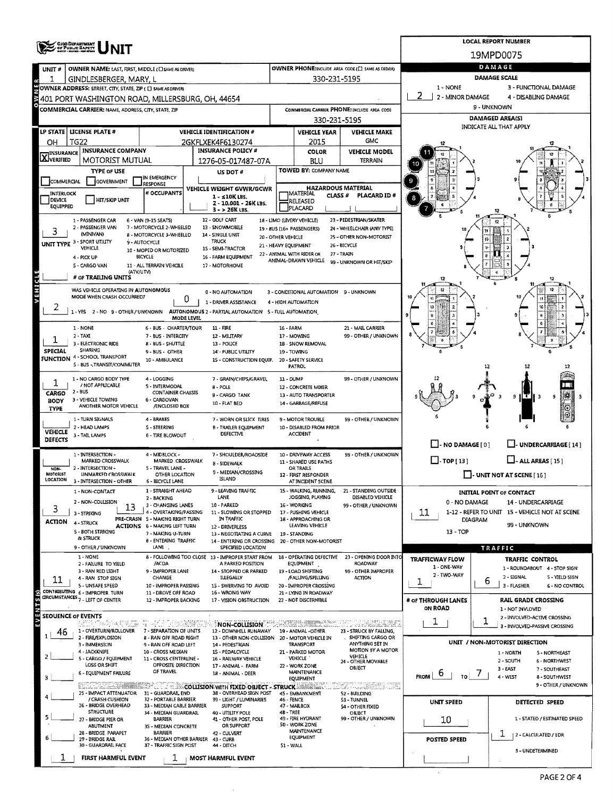|                           | <b>OHO DEPARTMENT</b><br>OF PUBLIC BAPETY<br>MATI-MANI-RESERVE                                                                      |                                                           | <b>LOCAL REPORT NUMBER</b>                                            |                                                             |                                               |                                                   |                                       |                                                           |                                       |
|---------------------------|-------------------------------------------------------------------------------------------------------------------------------------|-----------------------------------------------------------|-----------------------------------------------------------------------|-------------------------------------------------------------|-----------------------------------------------|---------------------------------------------------|---------------------------------------|-----------------------------------------------------------|---------------------------------------|
|                           |                                                                                                                                     |                                                           |                                                                       |                                                             |                                               |                                                   |                                       | 19MPD0075                                                 |                                       |
| UNIT#                     | OWNER NAME: LAST, FIRST, MIDDLE (C) SAME AS DRIVER)                                                                                 |                                                           |                                                                       |                                                             |                                               | OWNER PHONE:INCLUDE AREA CODE (E) SAME AS DRIVERY |                                       | DAMAGE                                                    |                                       |
|                           | GINDLESBERGER, MARY, L                                                                                                              |                                                           |                                                                       |                                                             | 330-231-5195                                  |                                                   |                                       | <b>DAMAGE SCALE</b>                                       |                                       |
|                           | <b>COWNER ADDRESS:</b> STREET, CITY, STATE, ZIP ( <b>C)</b> SAME AS DRIVERS <b>CONDITY</b><br>29 401 PORT WASHINGTON ROAD, MILLERSB |                                                           |                                                                       |                                                             |                                               |                                                   | 1 - NONE<br>2 - MINOR DAMAGE          | 3 - FUNCTIONAL DAMAGE<br>4 - DISABLING DAMAGE             |                                       |
|                           | 401 PORT WASHINGTON ROAD, MILLERSBURG, OH, 44654<br>COMMERCIAL CARRIER: NAME, ADDRESS, CITY, STATE, ZIP                             |                                                           |                                                                       |                                                             |                                               |                                                   |                                       | 9 - UNKNOWN                                               |                                       |
|                           |                                                                                                                                     |                                                           |                                                                       | COMMERCIAL CARRIER PHONE: INCLUDE AREA CODE<br>330-231-5195 |                                               |                                                   |                                       | <b>DAMAGED AREA(S)</b>                                    |                                       |
|                           | LP STATE   LICENSE PLATE #                                                                                                          |                                                           | <b>VEHICLE IDENTIFICATION #</b>                                       | <b>VEHICLE YEAR</b>                                         |                                               | <b>VEHICLE MAKE</b>                               |                                       | INDICATE ALL THAT APPLY                                   |                                       |
| OН                        | <b>TG22</b>                                                                                                                         |                                                           | 2GKFLXEK4F6130274                                                     |                                                             | 2015                                          | <b>GMC</b>                                        |                                       |                                                           |                                       |
| <b>INSURANCE</b>          | <b>INSURANCE COMPANY</b>                                                                                                            |                                                           | <b>INSURANCE POLICY #</b>                                             |                                                             | <b>COLOR</b>                                  | <b>VEHICLE MODEL</b>                              |                                       |                                                           |                                       |
| XVERIFIED                 | <b>MOTORIST MUTUAL</b>                                                                                                              |                                                           | 1276-05-017487-07A                                                    |                                                             | BLU                                           | TERRAIN                                           |                                       |                                                           |                                       |
|                           | <b>TYPE OF USE</b>                                                                                                                  | IN EMERGENCY                                              | US DOT #                                                              |                                                             | TOWED BY: COMPANY NAME                        |                                                   |                                       |                                                           |                                       |
| COMMERCIAL                | GOVERNMENT                                                                                                                          | <b>RESPONSE</b>                                           | VEHICLE WEIGHT GVWR/GCWR                                              |                                                             | <b>HAZARDOUS MATERIAL</b>                     |                                                   |                                       |                                                           |                                       |
| INTERLOCK<br>DEVICE       | <b>HIT/SKIP UNIT</b>                                                                                                                | # OCCUPANTS                                               | 1 - s10K LBS.                                                         |                                                             | MATERIAL<br>CLASS <sup>#</sup><br>RELEASED    | PLACARD ID#                                       |                                       |                                                           |                                       |
| EQUIPPED                  |                                                                                                                                     |                                                           | Z - 10.001 - 26K LBS.<br>$3 - 26K$ LBS.                               |                                                             | PLACARD                                       |                                                   |                                       |                                                           |                                       |
|                           | 1 - PASSENGER CAR                                                                                                                   | 6 - VAN (9-15 SEATS)                                      | 12 - GOLF CART                                                        |                                                             | 18 - LIMO (LIVERY VEHICLE)                    | 23 - PEDESTRIAN/SKATER                            |                                       | 12                                                        |                                       |
| 3                         | 2 - PASSENGER VAN<br>(MINIVAN)                                                                                                      | 7 - MOTORCYCLE 2-WHEELED<br>8 - MOTORCYCLE 3-WHEELED      | 13 - SNOWMOBILE<br>14 - SINGLE UNIT                                   |                                                             | 19 - 8US (16+ PASSENGERS)                     | 24 - WHEELCHAIR (ANY TYPE)                        |                                       |                                                           |                                       |
|                           | UNIT TYPE 3 - SPORT UTILITY                                                                                                         | 9 - AUTOCYCLE                                             | <b>TRUCK</b>                                                          | 20 - OTHER VEHICLE<br>21 - HEAVY EQUIPMENT                  |                                               | 25 - OTHER NON-MOTORIST<br>26 - BICYCLE           |                                       | i a<br>10 (<br>- 3                                        |                                       |
|                           | VEHICLE<br>4 - PICK UP                                                                                                              | 10 - MOPED OR MOTORIZED<br>BICYCLE                        | 15 - SEMI-TRACTOR<br>16 - FARM EQUIPMENT                              |                                                             | 22 - ANIMAL WITH RIDER OR                     | 27 - TRAIN                                        |                                       |                                                           |                                       |
|                           | 5 - CARGO VAN                                                                                                                       | 11 - ALL TERRAIN VEHCILE                                  | 17 - MOTORHOME                                                        |                                                             | ANIMAL-DRAWN VEHICLE                          | 99 - UNKNOWN OR HIT/SKIP                          |                                       |                                                           |                                       |
|                           | (ATV/UTV)<br># OF TRAILING UNITS                                                                                                    |                                                           |                                                                       |                                                             |                                               |                                                   |                                       |                                                           | 12                                    |
| VEHICL                    | WAS VEHICLE OPERATING IN AUTONOMOUS                                                                                                 |                                                           | 0 - NO AUTOMATION                                                     |                                                             | 3 - CONDITIONAL AUTOMATION 9 - UNKNOWN        |                                                   |                                       |                                                           |                                       |
|                           | MODE WHEN CRASH OCCURRED?                                                                                                           | 0                                                         | 1 - DRIVER ASSISTANCE                                                 |                                                             | 4 - HIGH AUTOMATION                           |                                                   |                                       |                                                           |                                       |
|                           | 1-YES 2-NO 9-OTHER/UNKNOWN                                                                                                          |                                                           | AUTONOMOUS 2 - PARTIAL AUTOMATION 5 - FULL AUTOMATION                 |                                                             |                                               |                                                   |                                       |                                                           |                                       |
|                           |                                                                                                                                     | <b>MODE LEVEL</b>                                         |                                                                       |                                                             |                                               |                                                   |                                       |                                                           |                                       |
|                           | 1 - NONE<br>2 - TAXI                                                                                                                | 6 - BUS - CHARTER/TOUR<br>7 - BUS - INTERCITY             | $11 - FIRE$<br>12 - MILITARY                                          | 16 - FARM                                                   | 17 - MOWING                                   | 21 - MAIL CARRIER<br>99 - OTHER / UNKNOWN         |                                       |                                                           |                                       |
|                           | 3 - ELECTRONIC RIDE<br>SHARING                                                                                                      | 8 - BUS - SHUTTLE                                         | 13 - POLICE                                                           |                                                             | 1B - SNOW REMOVAL                             |                                                   |                                       |                                                           |                                       |
| SPECIAL                   | <b>FUNCTION</b> 4 - SCHOOL TRANSPORT                                                                                                | 9 - BUS - OTHER<br>10 - AMBULANCE                         | 14' - PUBLIC UTILITY<br>15 - CONSTRUCTION EQUIP.                      |                                                             | 19 - TOWING<br>20 - SAFETY SERVICE            |                                                   |                                       |                                                           |                                       |
|                           | 5 - BUS - TRANSIT/COMMUTER                                                                                                          |                                                           |                                                                       |                                                             | PATROL                                        |                                                   |                                       | 12                                                        |                                       |
| ı                         | 1 - NO CARGO BODY TYPE                                                                                                              | 4 - LOGGING                                               | 7 - GRAIN/CHIPS/GRAVEL                                                | 11 - DUMP                                                   |                                               | 99 - OTHER / UNKNOWN                              |                                       |                                                           |                                       |
| CARGO                     | / NOT APPLICABLE<br>$2 - BUS$                                                                                                       | 5 - INTERMODAL<br><b>CONTAINER CHASSIS</b>                | 8 - POLE<br>9 - CARGO TANK                                            |                                                             | 12 - CONCRETE MIXER<br>13 - AUTO TRANSPORTER  |                                                   |                                       |                                                           |                                       |
| <b>BODY</b>               | 3 - VEHICLE TOWING<br>ANOTHER MOTOR VEHICLE                                                                                         | 6 - CARGOVAN<br>/ENCLOSED BOX                             | 10 - FLAT BED                                                         |                                                             | 14 - GARBAGE/REFUSE                           |                                                   |                                       | 9                                                         | 152<br>9                              |
| <b>TYPE</b>               |                                                                                                                                     |                                                           |                                                                       |                                                             |                                               |                                                   |                                       |                                                           |                                       |
|                           | 1 - TURN SIGNALS<br>2 - HEAD LAMPS                                                                                                  | 4 - BRAKES<br>5 - STEERING                                | 7 - WORN OR SLICK TIRES<br><b>B - TRAILER EQUIPMENT</b>               |                                                             | 9 - MOTOR TROUBLE<br>10 - DISABLED FROM PRIOR | 99 - OTHER / UNKNOWN                              |                                       |                                                           |                                       |
| VEHICLE<br><b>DEFECTS</b> | 3 - TAIL LAMPS                                                                                                                      | 6 - TIRE BLOWOUT                                          | DEFECTIVE                                                             |                                                             | <b>ACCIDENT</b>                               |                                                   |                                       |                                                           |                                       |
|                           |                                                                                                                                     |                                                           |                                                                       |                                                             |                                               |                                                   | $\Box$ - NO DAMAGE [ 0 ]              |                                                           | - UNDERCARRIAGE [ 14 ]                |
|                           | 1 - INTERSECTION -<br>MARKED CROSSWALK                                                                                              | 4 - MIDBLOCK -<br>MARKED CROSSWALK                        | 7 - SHOULDER/ROADSIDE<br>8 - SIDEWALK                                 |                                                             | 10 - DRIVEWAY ACCESS<br>11 - SHARED USE PATHS | 99 - OTHER / UNKNOWN                              | $\Box$ -TOP [13]                      | $L$ - ALL AREAS [ 15 ]                                    |                                       |
| NON-<br>MOTORIST          | 2 - INTERSECTION -<br>UNMARKED CROSSWALK                                                                                            | 5 - TRAVEL LANE -<br>OTHER LOCATION                       | 9 - MEDIAN/CROSSING                                                   |                                                             | OR TRAILS<br>12 - FIRST RESPONDER             |                                                   |                                       | $\Box$ - UNIT NOT AT SCENE [ 16 ]                         |                                       |
| LOCATION                  | 3 - INTERSECTION - OTHER                                                                                                            | <b>6 - BICYCLE LANE</b>                                   | ISLAND                                                                |                                                             | AT INCIDENT SCENE                             |                                                   |                                       |                                                           |                                       |
|                           | 1 - NON-CONTACT                                                                                                                     | 1 - STRAIGHT AHEAD<br>2 - BACKING                         | 9 - LEAVING TRAFFIC<br>LANE                                           |                                                             | 15 - WALKING, RUNNING,<br>JOGGING, PLAYING    | 21 - STANDING OUTSIDE<br>DISABLED VEHICLE         |                                       | <b>INITIAL POINT OF CONTACT</b>                           |                                       |
| 3                         | 2 - NON-COLLISION<br>13                                                                                                             | 3 - CHANGING LANES                                        | 10 - PARKED                                                           |                                                             | 16 - WORKING                                  | 99 - OTHER / UNKNOWN                              | 0 - NO DAMAGE                         | 14 - UNDERCARRIAGE                                        |                                       |
| ACTION                    | 3 - STRIKING                                                                                                                        | 4 - OVERTAKING/PASSING<br>PRE-CRASH 5 - MAKING RIGHT TURN | 11 - SLOWING OR STOPPED<br>IN TRAFFIC                                 |                                                             | 17 - PUSHING VEHICLE<br>18 - APPROACHING OR   |                                                   | 11                                    | 1-12 - REFER TO UNIT 15 - VEHICLE NOT AT SCENE<br>DIAGRAM |                                       |
|                           | 4 - STRUCK<br>5 - BOTH STRIKING                                                                                                     | <b>ACTIONS 6 - MAKING LEFT TURN</b>                       | 12 - DRIVERLESS                                                       |                                                             | LEAVING VEHICLE                               |                                                   | 13 - TOP                              | 99 - UNKNOWN                                              |                                       |
|                           | <b><i>BLISTRUCK</i></b>                                                                                                             | 7 - MAKING U-TURN<br><b>8 - ENTERING TRAFFIC</b>          | 13 - NEGOTIATING A CURVE<br>14 - ENTERING OR CROSSING                 |                                                             | 19 - STANDING<br>20 - OTHER NON-MOTORIST      |                                                   |                                       |                                                           |                                       |
|                           | 9 - OTHER / UNKNOWN                                                                                                                 | LANE,                                                     | SPECIFIED LOCATION                                                    |                                                             |                                               |                                                   |                                       | TRAFFIC                                                   |                                       |
|                           | 1 - NONE<br>2 - FAILURE TO YIELD                                                                                                    | /ACDA                                                     | 8 - FOLLOWING TOO CLOSE 13 - IMPROPER START FROM<br>A PARKED POSITION |                                                             | 18 - OPERATING DEFECTIVE<br>EQUIPMENT         | 23 - OPENING DOOR INTO<br>ROADWAY                 | <b>TRAFFICWAY FLOW</b><br>1 - ONE-WAY | <b>TRAFFIC CONTROL</b><br>1 - ROUNDABOUT 4 - STOP SIGN    |                                       |
|                           | 3 - RAN RED LIGHT<br>4 - RAN STOP SIGN                                                                                              | 9 - IMPROPER LANE<br>CHANGE                               | 14 - STOPPED OR PARKED<br><b>ILLEGALLY</b>                            |                                                             | 19 - LOAD SHIFTING<br>/FALLING/SPILLING       | 99 - OTHER IMPROPER<br><b>ACTION</b>              | 2 - TWO-WAY                           | 2 - SIGNAL                                                | 5 - YIELD SIGN                        |
| 11                        | 5 - UNSAFE SPEED                                                                                                                    | 10 - IMPROPER PASSING                                     | 15 - SWERVING TO AVOID                                                |                                                             | 20 - IMPROPER CROSSING                        |                                                   | ı                                     | 6<br>3 - FLASHER                                          | <b>6 - NO CONTROL</b>                 |
|                           | CONTRIBUTING 6 - IMPROPER TURN<br>CIRCUMSTANCES 7 - LEFT OF CENTER                                                                  | 11 - DROVE OFF ROAD<br>12 - IMPROPER BACKING              | 16 - WRONG WAY<br>17 - VISION OBSTRUCTION                             |                                                             | 21 - LYING IN ROADWAY<br>22 - NOT DISCERNIBLE |                                                   | # OF THROUGH LANES                    | <b>RAIL GRADE CROSSING</b>                                |                                       |
| EVENTS <sub>(S)</sub>     |                                                                                                                                     |                                                           |                                                                       |                                                             |                                               |                                                   | ON ROAD                               | 1 - NOT INVLOVED                                          |                                       |
|                           | <b>SEOUENCE OF EVENTS</b>                                                                                                           | water a skoli ba <mark>n</mark> g                         | NON-COLLISION:                                                        |                                                             | SHIMA MELLER                                  | T OO AMADAHI                                      | T                                     | 2 - INVOLVED-ACTIVE CROSSING                              |                                       |
| 46                        | 1 - OVERTURN/ROLLOVER                                                                                                               | 7 - SEPARATION OF UNITS                                   | 12 - DOWNHILL RUNAWAY                                                 |                                                             | 19 - ANIMAL - OTHER                           | 23 - STRUCK BY FALLING,                           |                                       | 3 - INVOLVED-PASSIVE CROSSING                             |                                       |
| 1                         | 2 - FIRE/EXPLOSION<br>3 - IMMERSION                                                                                                 | 8 - RAN OFF ROAD RIGHT<br>9 - RAN OFF ROAD LEFT           | 13 - OTHER NON-COLLISION 20 - MOTOR VEHICLE IN<br>14 PEDESTRIAN       |                                                             | <b>TRANSPORT</b>                              | SHIFTING CARGO OR<br>ANYTHING SET IN              |                                       | UNIT / NON-MOTORIST DIRECTION                             |                                       |
| 2                         | 4 - JACKKNIFE<br>5 - CARGO / EQUIPMENT                                                                                              | 10 - CROSS MEDIAN<br>11 - CROSS CENTERLINE -              | 15 - PEDALCYCLE<br>16 - RAILWAY VEHICLE                               |                                                             | 21 - PARKED MOTOR<br><b>AEHICLE</b>           | MOTION BY A MOTOR<br>VEHICLE                      |                                       | 1 - NORTH                                                 | 5 - NORTHEAST                         |
|                           | LOSS OR SHIFT                                                                                                                       | OPPOSITE DIRECTION                                        | 17 - ANIMAL - FARM                                                    |                                                             | 22 - WORK ZONE                                | 24 - OTHER MOVABLE<br>OBJECT                      |                                       | 2 - SOUTH<br>$3 - EAST$                                   | <b>6 - NORTHWEST</b><br>7 - SOUTHEAST |
|                           | 6 - EQUIPMENT FAILURE                                                                                                               | OF TRAVEL                                                 | 18 - ANIMAL - DEER                                                    |                                                             | MAINTENANCE<br>EQUIPMENT                      |                                                   | $F_{FROM}$ 6 $T_{TQ}$ 7               | 4 - WEST                                                  | 8 - SOUTHWEST                         |
|                           | <u> Albanya di Angg</u>                                                                                                             |                                                           | <b>COLLISION WITH FIXED OBJECT - STRUCK STREET !!</b>                 |                                                             |                                               | 327 TARKER OLI                                    |                                       |                                                           | 9 - OTHER / UNKNOWN                   |
|                           | 25 - IMPACT ATTENUATOR<br>/ CRASH CUSHION                                                                                           | 31 - GUARDRAIL END<br>32 - PORTABLE BARRIER               | 38 - OVERHEAD SIGN POST<br>39 - LIGHT / LUMINARIES                    | 46 - FENCE                                                  | 45 - EMBANKMENT                               | 52 - BUILDING<br>53 - TUNNEL                      | <b>UNIT SPEED</b>                     | DETECTED SPEED                                            |                                       |
|                           | 26 - BRIDGE OVERHEAD<br><b>STRUCTURE</b>                                                                                            | 33 - MEDIAN CABLE BARRIER<br>34 - MEDIAN GUARDRAIL        | <b>SUPPORT</b><br>40 - UTILITY POLE                                   | <b>48 - TREE</b>                                            | 47 - MAILBOX                                  | 54 - OTHER FIXED<br>OBJECT                        |                                       |                                                           |                                       |
| 5                         | 27 - BRIDGE PIER OR<br><b>ABUTMENT</b>                                                                                              | <b>BARRIER</b><br>35 - MEDIAN CONCRETE                    | 41 - OTHER POST, POLE<br>OR SUPPORT                                   |                                                             | 49 - FIRE HYDRANT<br>50 - WORK ZONE           | 99 - OTHER / UNKNOWN                              | 10                                    |                                                           | 1 - STATED / ESTIMATED SPEED          |
|                           | 28 - BRIDGE PARAPET                                                                                                                 | BARRIER                                                   | 42 - CULVERT                                                          |                                                             | MAINTENANCE<br>EQUIPMENT                      |                                                   |                                       | ı<br>  2 - CALCULATED / EDR                               |                                       |
|                           | 29 - BRIDGE RAIL<br>30 - GUARDRAIL FACE                                                                                             | 36 - MEDIAN OTHER BARRIER<br>37 - TRAFFIC SIGN POST       | 43 - CURB<br><b>44 - DITCH</b>                                        | 51 - WALL                                                   |                                               |                                                   | <b>POSTED SPEED</b>                   |                                                           |                                       |
|                           | FIRST HARMFUL EVENT                                                                                                                 |                                                           | <b>MOST HARMFUL EVENT</b>                                             |                                                             |                                               |                                                   |                                       | 3 - UNDETERMINED                                          |                                       |

 $\sim$ 

÷,